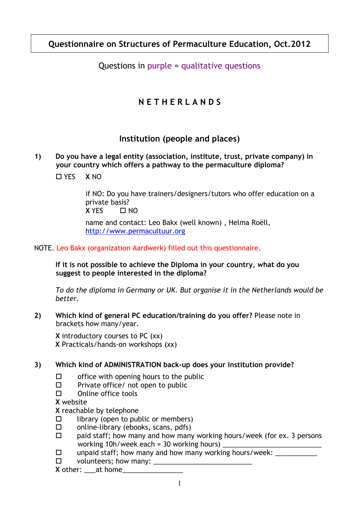# **Questionnaire on Structures of Permaculture Education, Oct.2012**

# Questions in purple = qualitative questions

# **N E T H E R L A N D S**

# **Institution (people and places)**

#### **1) Do you have a legal entity (association, institute, trust, private company) in your country which offers a pathway to the permaculture diploma?**

YES **X** NO

 if NO: Do you have trainers/designers/tutors who offer education on a private basis?  $\overline{X}$  YFS  $\qquad \Box$  NO

 name and contact: Leo Bakx (well known) , Helma Roëll, http://www.permacultuur.org

### NOTE. Leo Bakx (organization Aardwerk) filled out this questionnaire.

**If it is not possible to achieve the Diploma in your country, what do you suggest to people interested in the diploma?**

*To do the diploma in Germany or UK. But organise it in the Netherlands would be better.*

**2) Which kind of general PC education/training do you offer?** Please note in brackets how many/year.

**X** introductory courses to PC (xx) **X** Practicals/hands-on workshops (xx)

### **3) Which kind of ADMINISTRATION back-up does your institution provide?**

- $\square$  office with opening hours to the public
- $\square$  Private office/ not open to public
- $\square$  Online office tools

**X** website

**X** reachable by telephone

- $\Box$  library (open to public or members)
- □ online-library (ebooks, scans, pdfs)
- $\Box$  paid staff; how many and how many working hours/week (for ex. 3 persons working  $10h$ /week each = 30 working hours)
- $\Box$  unpaid staff; how many and how many working hours/week:
- $\square$  volunteers; how many:  $\square$

**X** other: \_\_\_\_at home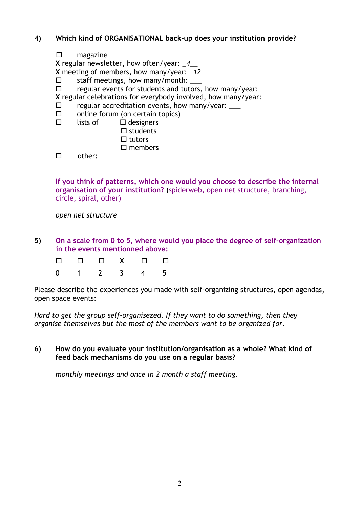#### **4) Which kind of ORGANISATIONAL back-up does your institution provide?**

| $\Box$ | magazine                        |                                                                    |  |  |  |  |  |
|--------|---------------------------------|--------------------------------------------------------------------|--|--|--|--|--|
|        |                                 | X regular newsletter, how often/year: _4_                          |  |  |  |  |  |
|        |                                 | X meeting of members, how many/year: $12$                          |  |  |  |  |  |
| $\Box$ | staff meetings, how many/month: |                                                                    |  |  |  |  |  |
| $\Box$ |                                 | regular events for students and tutors, how many/year: __          |  |  |  |  |  |
|        |                                 | X regular celebrations for everybody involved, how many/year: ____ |  |  |  |  |  |
| $\Box$ |                                 | regular accreditation events, how many/year:                       |  |  |  |  |  |
| $\Box$ |                                 | online forum (on certain topics)                                   |  |  |  |  |  |
| $\Box$ |                                 | lists of $\Box$ designers                                          |  |  |  |  |  |
|        |                                 | $\square$ students                                                 |  |  |  |  |  |
|        |                                 | $\Box$ tutors                                                      |  |  |  |  |  |
|        |                                 | $\square$ members                                                  |  |  |  |  |  |
|        | other:                          |                                                                    |  |  |  |  |  |

**If you think of patterns, which one would you choose to describe the internal organisation of your institution?** (spiderweb, open net structure, branching, circle, spiral, other)

 *open net structure* 

**5) On a scale from 0 to 5, where would you place the degree of self-organization in the events mentionned above:**

|  |  | 0 1 2 3 4 5 |  |
|--|--|-------------|--|

Please describe the experiences you made with self-organizing structures, open agendas, open space events:

*Hard to get the group self-organisezed. If they want to do something, then they organise themselves but the most of the members want to be organized for.* 

**6) How do you evaluate your institution/organisation as a whole? What kind of feed back mechanisms do you use on a regular basis?**

*monthly meetings and once in 2 month a staff meeting.*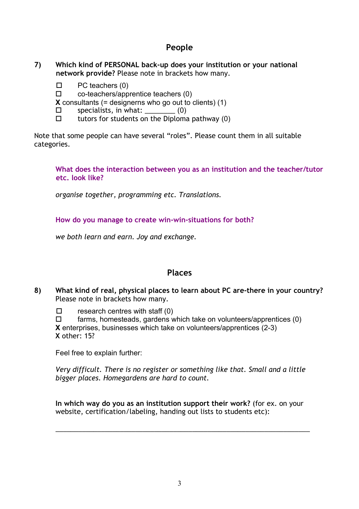### **People**

#### **7) Which kind of PERSONAL back-up does your institution or your national network provide?** Please note in brackets how many.

- $\Box$  PC teachers (0)
- $\square$  co-teachers/apprentice teachers (0)

**X** consultants (= designerns who go out to clients) (1)

- $\square$  specialists, in what: (0)
- $\Box$  tutors for students on the Diploma pathway (0)

Note that some people can have several "roles". Please count them in all suitable categories.

#### **What does the interaction between you as an institution and the teacher/tutor etc. look like?**

 *organise together, programming etc. Translations.*

**How do you manage to create win-win-situations for both?**

*we both learn and earn. Joy and exchange.* 

### **Places**

**8) What kind of real, physical places to learn about PC are-there in your country?** Please note in brackets how many.

 $\square$  research centres with staff (0)

 $\Box$  farms, homesteads, gardens which take on volunteers/apprentices (0) **X** enterprises, businesses which take on volunteers/apprentices (2-3) **X** other: 15?

Feel free to explain further:

*Very difficult. There is no register or something like that. Small and a little bigger places. Homegardens are hard to count.* 

**In which way do you as an institution support their work?** (for ex. on your website, certification/labeling, handing out lists to students etc):

\_\_\_\_\_\_\_\_\_\_\_\_\_\_\_\_\_\_\_\_\_\_\_\_\_\_\_\_\_\_\_\_\_\_\_\_\_\_\_\_\_\_\_\_\_\_\_\_\_\_\_\_\_\_\_\_\_\_\_\_\_\_\_\_\_\_\_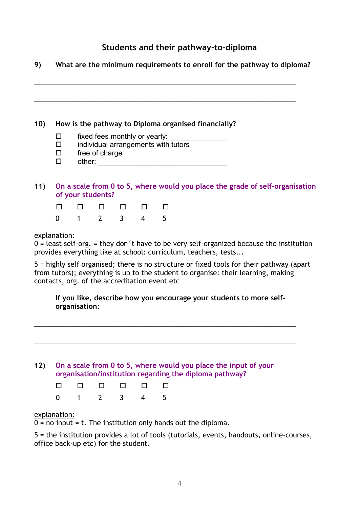# **Students and their pathway-to-diploma**

**9) What are the minimum requirements to enroll for the pathway to diploma?** \_\_\_\_\_\_\_\_\_\_\_\_\_\_\_\_\_\_\_\_\_\_\_\_\_\_\_\_\_\_\_\_\_\_\_\_\_\_\_\_\_\_\_\_\_\_\_\_\_\_\_\_\_\_\_\_\_\_\_\_\_\_\_\_\_\_\_\_\_ \_\_\_\_\_\_\_\_\_\_\_\_\_\_\_\_\_\_\_\_\_\_\_\_\_\_\_\_\_\_\_\_\_\_\_\_\_\_\_\_\_\_\_\_\_\_\_\_\_\_\_\_\_\_\_\_\_\_\_\_\_\_\_\_\_\_\_\_\_ **10) How is the pathway to Diploma organised financially?**  $\square$  fixed fees monthly or yearly:  $\square$  individual arrangements with tutors  $\square$  free of charge other: \_\_\_\_\_\_\_\_\_\_\_\_\_\_\_\_\_\_\_\_\_\_\_\_\_\_\_\_\_\_\_\_ **11) On a scale from 0 to 5, where would you place the grade of self-organisation of your students?** a a a a a a 0 1 2 3 4 5 explanation:  $0 =$  least self-org.  $=$  they don't have to be very self-organized because the institution provides everything like at school: curriculum, teachers, tests...

5 = highly self organised; there is no structure or fixed tools for their pathway (apart from tutors); everything is up to the student to organise: their learning, making contacts, org. of the accreditation event etc

**If you like, describe how you encourage your students to more selforganisation**:

\_\_\_\_\_\_\_\_\_\_\_\_\_\_\_\_\_\_\_\_\_\_\_\_\_\_\_\_\_\_\_\_\_\_\_\_\_\_\_\_\_\_\_\_\_\_\_\_\_\_\_\_\_\_\_\_\_\_\_\_\_\_\_\_\_\_\_\_\_

\_\_\_\_\_\_\_\_\_\_\_\_\_\_\_\_\_\_\_\_\_\_\_\_\_\_\_\_\_\_\_\_\_\_\_\_\_\_\_\_\_\_\_\_\_\_\_\_\_\_\_\_\_\_\_\_\_\_\_\_\_\_\_\_\_\_\_\_\_



|  | 000000                                           |  |  |
|--|--------------------------------------------------|--|--|
|  | $0 \qquad 1 \qquad 2 \qquad 3 \qquad 4 \qquad 5$ |  |  |

#### explanation:

 $0 =$  no input = t. The institution only hands out the diploma.

5 = the institution provides a lot of tools (tutorials, events, handouts, online-courses, office back-up etc) for the student.